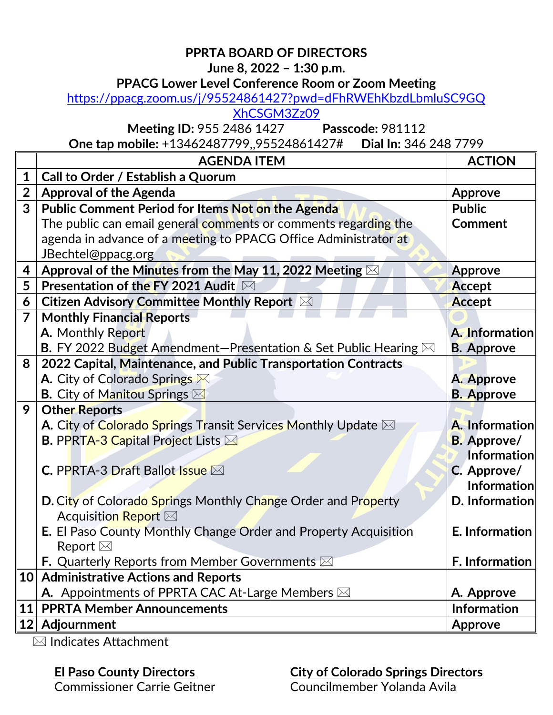# **PPRTA BOARD OF DIRECTORS**

## **June 8, 2022 – 1:30 p.m.**

#### **PPACG Lower Level Conference Room or Zoom Meeting**

[https://ppacg.zoom.us/j/95524861427?pwd=dFhRWEhKbzdLbmluSC9GQ](https://ppacg.zoom.us/j/95524861427?pwd=dFhRWEhKbzdLbmluSC9GQXhCSGM3Zz09)

[XhCSGM3Zz09](https://ppacg.zoom.us/j/95524861427?pwd=dFhRWEhKbzdLbmluSC9GQXhCSGM3Zz09)

**Meeting ID:** 955 2486 1427 **Passcode:** 981112

**One tap mobile:** +13462487799,,95524861427# **Dial In:** 346 248 7799

|                | <b>AGENDA ITEM</b>                                                                                     | <b>ACTION</b>      |
|----------------|--------------------------------------------------------------------------------------------------------|--------------------|
| 1              | Call to Order / Establish a Quorum                                                                     |                    |
| $\overline{2}$ | <b>Approval of the Agenda</b>                                                                          | <b>Approve</b>     |
| $\overline{3}$ | Public Comment Period for Items Not on the Agenda                                                      | <b>Public</b>      |
|                | The public can email general comments or comments regarding the                                        | <b>Comment</b>     |
|                | agenda in advance of a meeting to PPACG Office Administrator at                                        |                    |
|                | JBechtel@ppacg.org                                                                                     |                    |
| 4              | Approval of the Minutes from the May 11, 2022 Meeting $\boxtimes$                                      | <b>Approve</b>     |
| 5              | Presentation of the FY 2021 Audit ⊠                                                                    | Accept             |
| 6              | Citizen Advisory Committee Monthly Report $\boxtimes$                                                  | Accept             |
| $\overline{7}$ | <b>Monthly Financial Reports</b>                                                                       |                    |
|                | A. Monthly Report                                                                                      | A. Information     |
|                | <b>B.</b> FY 2022 Budget Amendment-Presentation & Set Public Hearing $\boxtimes$                       | <b>B.</b> Approve  |
| 8              | 2022 Capital, Maintenance, and Public Transportation Contracts                                         |                    |
|                | A. City of Colorado Springs                                                                            | A. Approve         |
|                | <b>B.</b> City of Manitou Springs $\boxtimes$                                                          | <b>B.</b> Approve  |
| 9              | <b>Other Reports</b>                                                                                   |                    |
|                | A. City of Colorado Springs Transit Services Monthly Update ⊠                                          | A. Information     |
|                | <b>B. PPRTA-3 Capital Project Lists <math>\boxtimes</math></b>                                         | <b>B.</b> Approve/ |
|                |                                                                                                        | <b>Information</b> |
|                | <b>C. PPRTA-3 Draft Ballot Issue <math>\boxtimes</math></b>                                            | C. Approve/        |
|                |                                                                                                        | Information        |
|                | <b>D. City of Colorado Springs Monthly Change Order and Property</b><br>Acquisition Report $\boxtimes$ | D. Information     |
|                | E. El Paso County Monthly Change Order and Property Acquisition                                        | E. Information     |
|                | Report $\boxtimes$                                                                                     |                    |
|                | <b>F.</b> Quarterly Reports from Member Governments $\boxtimes$                                        | F. Information     |
| 10             | <b>Administrative Actions and Reports</b>                                                              |                    |
|                | A. Appointments of PPRTA CAC At-Large Members $\boxtimes$                                              | A. Approve         |
| <b>11</b>      | <b>PPRTA Member Announcements</b>                                                                      | <b>Information</b> |
|                | 12 Adjournment                                                                                         | <b>Approve</b>     |

 $\overline{\boxtimes}$  Indicates Attachment

## **El Paso County Directors**

**City of Colorado Springs Directors** Councilmember Yolanda Avila

Commissioner Carrie Geitner